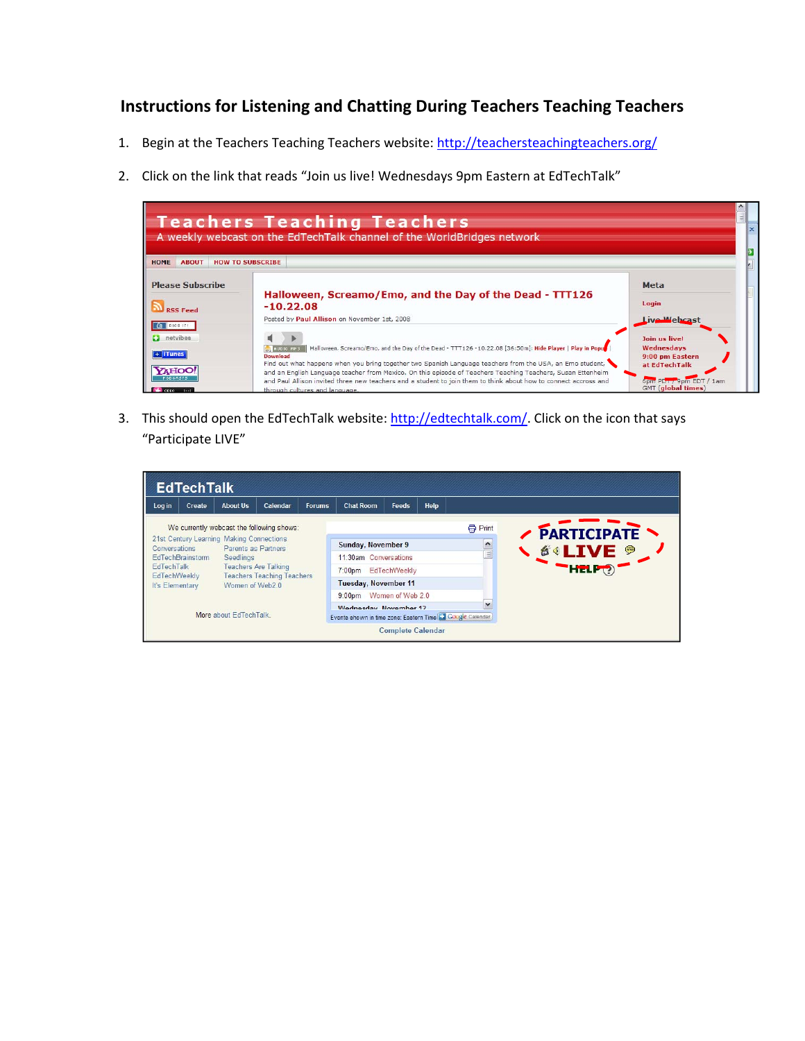## **Instructions for Listening and Chatting During Teachers Teaching Teachers**

- 1. Begin at the Teachers Teaching Teachers website: http://teachersteachingteachers.org/
- 2. Click on the link that reads "Join us live! Wednesdays 9pm Eastern at EdTechTalk"



3. This should open the EdTechTalk website: http://edtechtalk.com/. Click on the icon that says "Participate LIVE"

| <b>EdTechTalk</b>                                                                       |                                                              |                 |                                                                               |                                                                                     |                                        |                                    |              |                |                    |
|-----------------------------------------------------------------------------------------|--------------------------------------------------------------|-----------------|-------------------------------------------------------------------------------|-------------------------------------------------------------------------------------|----------------------------------------|------------------------------------|--------------|----------------|--------------------|
| Log in                                                                                  | Create                                                       | <b>About Us</b> | Calendar                                                                      | <b>Forums</b>                                                                       | <b>Chat Room</b>                       | <b>Feeds</b>                       | Help         |                |                    |
|                                                                                         |                                                              |                 | We currently webcast the following shows:                                     |                                                                                     |                                        |                                    |              | <b>骨 Print</b> | <b>FARTICIPATE</b> |
| 21st Century Learning Making Connections<br>Parents as Partners<br><b>Conversations</b> |                                                              |                 | Sunday, November 9                                                            |                                                                                     | $\curvearrowright$<br>$\equiv$         |                                    |              |                |                    |
|                                                                                         | EdTechBrainstorm<br><b>EdTechTalk</b><br><b>EdTechWeekly</b> |                 | Seedlings<br><b>Teachers Are Talking</b><br><b>Teachers Teaching Teachers</b> |                                                                                     |                                        | 11:30am Conversations              |              |                | <b>SALIVE 9</b>    |
|                                                                                         |                                                              |                 |                                                                               |                                                                                     |                                        | EdTechWeekly<br>7:00 <sub>pm</sub> |              |                |                    |
| It's Elementary                                                                         |                                                              | Women of Web2.0 |                                                                               |                                                                                     | <b>Tuesday, November 11</b>            |                                    |              |                |                    |
|                                                                                         |                                                              |                 |                                                                               |                                                                                     | Women of Web 2.0<br>9:00 <sub>pm</sub> |                                    |              |                |                    |
| More about EdTechTalk                                                                   |                                                              |                 |                                                                               | Wednesday, November 12<br>Events shown in time zone: Eastern Time & Google Calendar |                                        |                                    | $\checkmark$ |                |                    |
|                                                                                         |                                                              |                 |                                                                               |                                                                                     |                                        | <b>Complete Calendar</b>           |              |                |                    |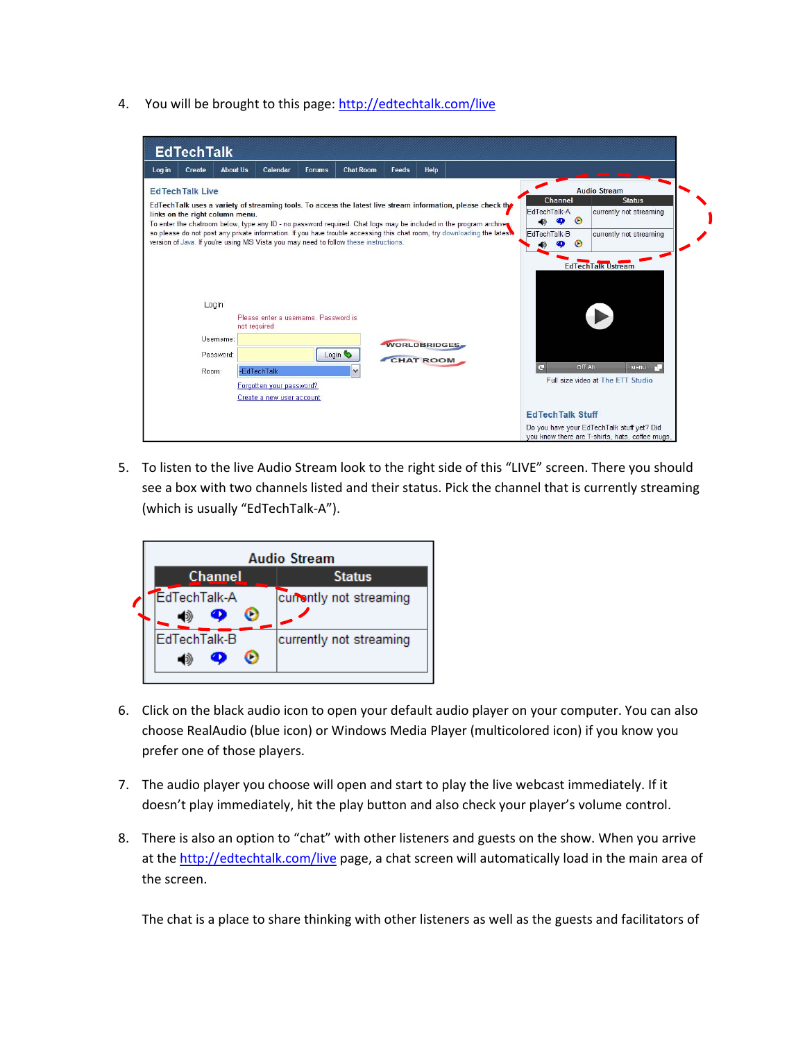4. You will be brought to this page: http://edtechtalk.com/live



5. To listen to the live Audio Stream look to the right side of this "LIVE" screen. There you should see a box with two channels listed and their status. Pick the channel that is currently streaming (which is usually "EdTechTalk‐A").

| <b>Audio Stream</b> |                         |  |  |  |  |  |  |  |  |
|---------------------|-------------------------|--|--|--|--|--|--|--|--|
| <b>Channel</b>      | <b>Status</b>           |  |  |  |  |  |  |  |  |
| EdTechTalk-A        | currently not streaming |  |  |  |  |  |  |  |  |
| EdTechTalk-B        | currently not streaming |  |  |  |  |  |  |  |  |

- 6. Click on the black audio icon to open your default audio player on your computer. You can also choose RealAudio (blue icon) or Windows Media Player (multicolored icon) if you know you prefer one of those players.
- 7. The audio player you choose will open and start to play the live webcast immediately. If it doesn't play immediately, hit the play button and also check your player's volume control.
- 8. There is also an option to "chat" with other listeners and guests on the show. When you arrive at the http://edtechtalk.com/live page, a chat screen will automatically load in the main area of the screen.

The chat is a place to share thinking with other listeners as well as the guests and facilitators of